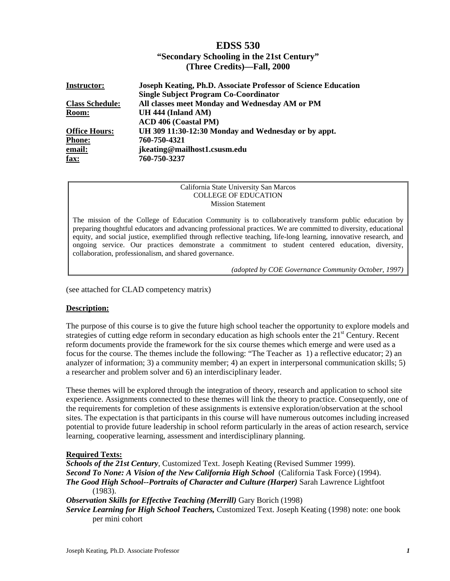# **EDSS 530**

# **"Secondary Schooling in the 21st Century" (Three Credits)—Fall, 2000**

| <b>Instructor:</b>     | <b>Joseph Keating, Ph.D. Associate Professor of Science Education</b> |
|------------------------|-----------------------------------------------------------------------|
|                        | <b>Single Subject Program Co-Coordinator</b>                          |
| <b>Class Schedule:</b> | All classes meet Monday and Wednesday AM or PM                        |
| Room:                  | UH 444 (Inland AM)                                                    |
|                        | <b>ACD 406 (Coastal PM)</b>                                           |
| <b>Office Hours:</b>   | UH 309 11:30-12:30 Monday and Wednesday or by appt.                   |
| <b>Phone:</b>          | 760-750-4321                                                          |
| email:                 | jkeating@mailhost1.csusm.edu                                          |
| fax:                   | 760-750-3237                                                          |

#### California State University San Marcos COLLEGE OF EDUCATION Mission Statement

The mission of the College of Education Community is to collaboratively transform public education by preparing thoughtful educators and advancing professional practices. We are committed to diversity, educational equity, and social justice, exemplified through reflective teaching, life-long learning, innovative research, and ongoing service. Our practices demonstrate a commitment to student centered education, diversity, collaboration, professionalism, and shared governance.

*(adopted by COE Governance Community October, 1997)*

(see attached for CLAD competency matrix)

## **Description:**

The purpose of this course is to give the future high school teacher the opportunity to explore models and strategies of cutting edge reform in secondary education as high schools enter the 21<sup>st</sup> Century. Recent reform documents provide the framework for the six course themes which emerge and were used as a focus for the course. The themes include the following: "The Teacher as 1) a reflective educator; 2) an analyzer of information; 3) a community member; 4) an expert in interpersonal communication skills; 5) a researcher and problem solver and 6) an interdisciplinary leader.

These themes will be explored through the integration of theory, research and application to school site experience. Assignments connected to these themes will link the theory to practice. Consequently, one of the requirements for completion of these assignments is extensive exploration/observation at the school sites. The expectation is that participants in this course will have numerous outcomes including increased potential to provide future leadership in school reform particularly in the areas of action research, service learning, cooperative learning, assessment and interdisciplinary planning.

## **Required Texts:**

*Schools of the 21st Century*, Customized Text. Joseph Keating (Revised Summer 1999). *Second To None: A Vision of the New California High School* (California Task Force) (1994). *The Good High School--Portraits of Character and Culture (Harper)* Sarah Lawrence Lightfoot (1983). **Observation Skills for Effective Teaching (Merrill) Gary Borich (1998)** *Service Learning for High School Teachers,* Customized Text. Joseph Keating (1998) note: one book

per mini cohort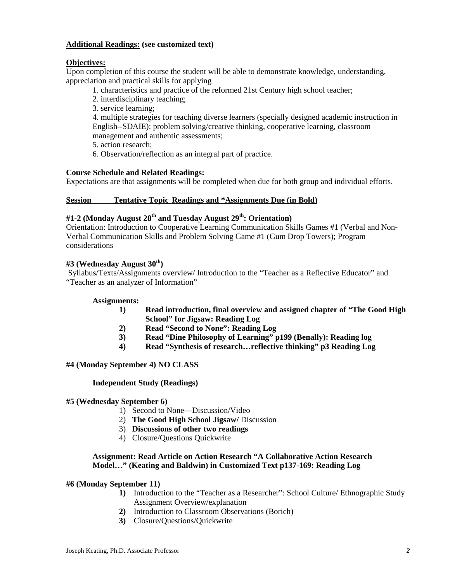# **Additional Readings: (see customized text)**

# **Objectives:**

Upon completion of this course the student will be able to demonstrate knowledge, understanding, appreciation and practical skills for applying

- 1. characteristics and practice of the reformed 21st Century high school teacher;
- 2. interdisciplinary teaching;
- 3. service learning;

4. multiple strategies for teaching diverse learners (specially designed academic instruction in English--SDAIE): problem solving/creative thinking, cooperative learning, classroom management and authentic assessments;

5. action research;

6. Observation/reflection as an integral part of practice.

# **Course Schedule and Related Readings:**

Expectations are that assignments will be completed when due for both group and individual efforts.

# **Session Tentative Topic Readings and \*Assignments Due (in Bold)**

# **#1-2 (Monday August 28th and Tuesday August 29th: Orientation)**

Orientation: Introduction to Cooperative Learning Communication Skills Games #1 (Verbal and Non-Verbal Communication Skills and Problem Solving Game #1 (Gum Drop Towers); Program considerations

# **#3 (Wednesday August 30th)**

Syllabus/Texts/Assignments overview/ Introduction to the "Teacher as a Reflective Educator" and "Teacher as an analyzer of Information"

## **Assignments:**

- **1) Read introduction, final overview and assigned chapter of "The Good High School" for Jigsaw: Reading Log**
- **2) Read "Second to None": Reading Log**
- **3) Read "Dine Philosophy of Learning" p199 (Benally): Reading log**
- **4) Read "Synthesis of research…reflective thinking" p3 Reading Log**

## **#4 (Monday September 4) NO CLASS**

## **Independent Study (Readings)**

## **#5 (Wednesday September 6)**

- 1) Second to None—Discussion/Video
- 2) **The Good High School Jigsaw/** Discussion
- 3) **Discussions of other two readings**
- 4) Closure/Questions Quickwrite

## **Assignment: Read Article on Action Research "A Collaborative Action Research Model…" (Keating and Baldwin) in Customized Text p137-169: Reading Log**

## **#6 (Monday September 11)**

- **1)** Introduction to the "Teacher as a Researcher": School Culture/ Ethnographic Study Assignment Overview/explanation
- **2)** Introduction to Classroom Observations (Borich)
- **3)** Closure/Questions/Quickwrite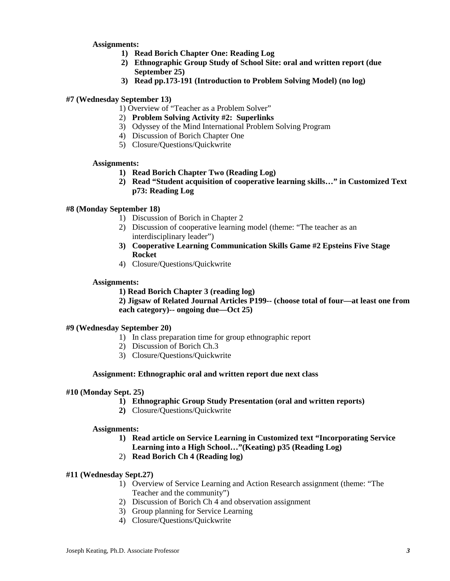**Assignments:**

- **1) Read Borich Chapter One: Reading Log**
- **2) Ethnographic Group Study of School Site: oral and written report (due September 25)**
- **3) Read pp.173-191 (Introduction to Problem Solving Model) (no log)**

# **#7 (Wednesday September 13)**

1) Overview of "Teacher as a Problem Solver"

- 2) **Problem Solving Activity #2: Superlinks**
- 3) Odyssey of the Mind International Problem Solving Program
- 4) Discussion of Borich Chapter One
- 5) Closure/Questions/Quickwrite

## **Assignments:**

- **1) Read Borich Chapter Two (Reading Log)**
- **2) Read "Student acquisition of cooperative learning skills…" in Customized Text p73: Reading Log**

## **#8 (Monday September 18)**

- 1) Discussion of Borich in Chapter 2
- 2) Discussion of cooperative learning model (theme: "The teacher as an interdisciplinary leader")
- **3) Cooperative Learning Communication Skills Game #2 Epsteins Five Stage Rocket**
- 4) Closure/Questions/Quickwrite

## **Assignments:**

**1) Read Borich Chapter 3 (reading log)**

**2) Jigsaw of Related Journal Articles P199-- (choose total of four—at least one from each category)-- ongoing due—Oct 25)** 

## **#9 (Wednesday September 20)**

- 1) In class preparation time for group ethnographic report
- 2) Discussion of Borich Ch.3
- 3) Closure/Questions/Quickwrite

## **Assignment: Ethnographic oral and written report due next class**

## **#10 (Monday Sept. 25)**

- **1) Ethnographic Group Study Presentation (oral and written reports)**
- **2)** Closure/Questions/Quickwrite

#### **Assignments:**

- **1) Read article on Service Learning in Customized text "Incorporating Service Learning into a High School…"(Keating) p35 (Reading Log)**
- 2) **Read Borich Ch 4 (Reading log)**

## **#11 (Wednesday Sept.27)**

- 1) Overview of Service Learning and Action Research assignment (theme: "The Teacher and the community")
- 2) Discussion of Borich Ch 4 and observation assignment
- 3) Group planning for Service Learning
- 4) Closure/Questions/Quickwrite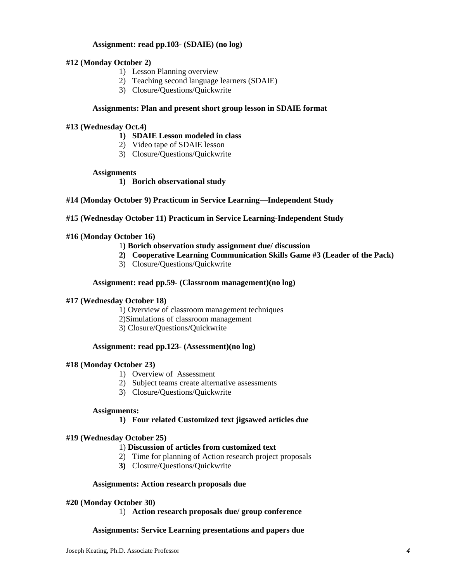## **Assignment: read pp.103- (SDAIE) (no log)**

#### **#12 (Monday October 2)**

- 1) Lesson Planning overview
- 2) Teaching second language learners (SDAIE)
- 3) Closure/Questions/Quickwrite

#### **Assignments: Plan and present short group lesson in SDAIE format**

#### **#13 (Wednesday Oct.4)**

- **1) SDAIE Lesson modeled in class**
- 2) Video tape of SDAIE lesson
- 3) Closure/Questions/Quickwrite

#### **Assignments**

- **1) Borich observational study**
- **#14 (Monday October 9) Practicum in Service Learning—Independent Study**
- **#15 (Wednesday October 11) Practicum in Service Learning-Independent Study**

#### **#16 (Monday October 16)**

#### 1**) Borich observation study assignment due/ discussion**

- **2) Cooperative Learning Communication Skills Game #3 (Leader of the Pack)**
- 3) Closure/Questions/Quickwrite

#### **Assignment: read pp.59- (Classroom management)(no log)**

#### **#17 (Wednesday October 18)**

1) Overview of classroom management techniques

- 2)Simulations of classroom management
- 3) Closure/Questions/Quickwrite

#### **Assignment: read pp.123- (Assessment)(no log)**

## **#18 (Monday October 23)**

- 1) Overview of Assessment
- 2) Subject teams create alternative assessments
- 3) Closure/Questions/Quickwrite

#### **Assignments:**

#### **1) Four related Customized text jigsawed articles due**

#### **#19 (Wednesday October 25)**

## 1) **Discussion of articles from customized text**

- 2) Time for planning of Action research project proposals
- **3)** Closure/Questions/Quickwrite

#### **Assignments: Action research proposals due**

#### **#20 (Monday October 30)**

1) **Action research proposals due/ group conference**

#### **Assignments: Service Learning presentations and papers due**